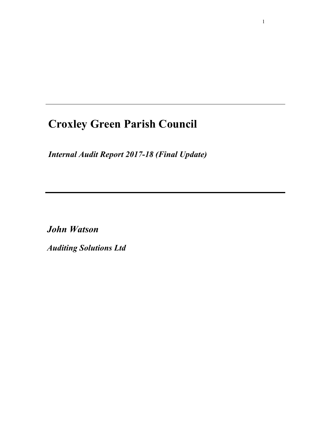# **Croxley Green Parish Council**

*Internal Audit Report 2017-18 (Final Update)*

*John Watson* 

*Auditing Solutions Ltd*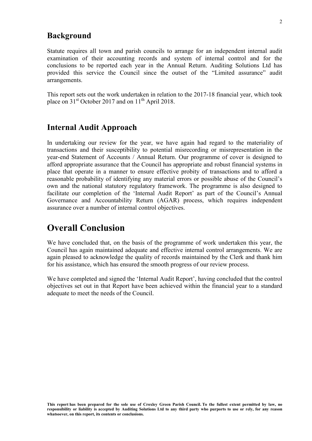### **Background**

Statute requires all town and parish councils to arrange for an independent internal audit examination of their accounting records and system of internal control and for the conclusions to be reported each year in the Annual Return. Auditing Solutions Ltd has provided this service the Council since the outset of the "Limited assurance" audit arrangements.

This report sets out the work undertaken in relation to the 2017-18 financial year, which took place on 31<sup>st</sup> October 2017 and on 11<sup>th</sup> April 2018.

#### **Internal Audit Approach**

In undertaking our review for the year, we have again had regard to the materiality of transactions and their susceptibility to potential misrecording or misrepresentation in the year-end Statement of Accounts / Annual Return. Our programme of cover is designed to afford appropriate assurance that the Council has appropriate and robust financial systems in place that operate in a manner to ensure effective probity of transactions and to afford a reasonable probability of identifying any material errors or possible abuse of the Council's own and the national statutory regulatory framework. The programme is also designed to facilitate our completion of the 'Internal Audit Report' as part of the Council's Annual Governance and Accountability Return (AGAR) process, which requires independent assurance over a number of internal control objectives.

# **Overall Conclusion**

We have concluded that, on the basis of the programme of work undertaken this year, the Council has again maintained adequate and effective internal control arrangements. We are again pleased to acknowledge the quality of records maintained by the Clerk and thank him for his assistance, which has ensured the smooth progress of our review process.

We have completed and signed the 'Internal Audit Report', having concluded that the control objectives set out in that Report have been achieved within the financial year to a standard adequate to meet the needs of the Council.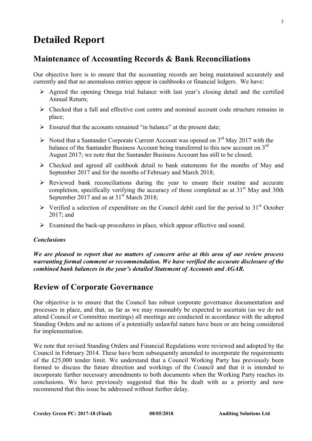# **Detailed Report**

# **Maintenance of Accounting Records & Bank Reconciliations**

Our objective here is to ensure that the accounting records are being maintained accurately and currently and that no anomalous entries appear in cashbooks or financial ledgers. We have:

- $\triangleright$  Agreed the opening Omega trial balance with last year's closing detail and the certified Annual Return;
- $\triangleright$  Checked that a full and effective cost centre and nominal account code structure remains in place;
- $\triangleright$  Ensured that the accounts remained "in balance" at the present date;
- $\triangleright$  Noted that a Santander Corporate Current Account was opened on 3<sup>rd</sup> May 2017 with the balance of the Santander Business Account being transferred to this new account on 3<sup>rd</sup> August 2017; we note that the Santander Business Account has still to be closed;
- $\triangleright$  Checked and agreed all cashbook detail to bank statements for the months of May and September 2017 and for the months of February and March 2018;
- $\triangleright$  Reviewed bank reconciliations during the year to ensure their routine and accurate completion, specifically verifying the accuracy of those completed as at  $31<sup>st</sup>$  May and 30th September 2017 and as at  $31<sup>st</sup>$  March 2018;
- $\triangleright$  Verified a selection of expenditure on the Council debit card for the period to 31<sup>st</sup> October 2017; and
- $\triangleright$  Examined the back-up procedures in place, which appear effective and sound.

#### *Conclusions*

*We are pleased to report that no matters of concern arise at this area of our review process warranting formal comment or recommendation. We have verified the accurate disclosure of the combined bank balances in the year's detailed Statement of Accounts and AGAR.* 

## **Review of Corporate Governance**

Our objective is to ensure that the Council has robust corporate governance documentation and processes in place, and that, as far as we may reasonably be expected to ascertain (as we do not attend Council or Committee meetings) all meetings are conducted in accordance with the adopted Standing Orders and no actions of a potentially unlawful nature have been or are being considered for implementation.

We note that revised Standing Orders and Financial Regulations were reviewed and adopted by the Council in February 2014. These have been subsequently amended to incorporate the requirements of the £25,000 tender limit. We understand that a Council Working Party has previously been formed to discuss the future direction and workings of the Council and that it is intended to incorporate further necessary amendments to both documents when the Working Party reaches its conclusions. We have previously suggested that this be dealt with as a priority and now recommend that this issue be addressed without further delay.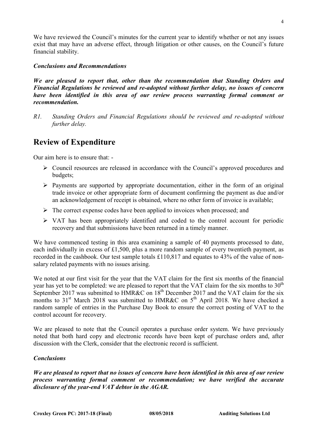We have reviewed the Council's minutes for the current year to identify whether or not any issues exist that may have an adverse effect, through litigation or other causes, on the Council's future financial stability.

#### *Conclusions and Recommendations*

*We are pleased to report that, other than the recommendation that Standing Orders and Financial Regulations be reviewed and re-adopted without further delay, no issues of concern have been identified in this area of our review process warranting formal comment or recommendation.* 

*R1. Standing Orders and Financial Regulations should be reviewed and re-adopted without further delay.*

# **Review of Expenditure**

Our aim here is to ensure that: -

- Council resources are released in accordance with the Council's approved procedures and budgets;
- $\triangleright$  Payments are supported by appropriate documentation, either in the form of an original trade invoice or other appropriate form of document confirming the payment as due and/or an acknowledgement of receipt is obtained, where no other form of invoice is available;
- $\triangleright$  The correct expense codes have been applied to invoices when processed; and
- $\triangleright$  VAT has been appropriately identified and coded to the control account for periodic recovery and that submissions have been returned in a timely manner.

We have commenced testing in this area examining a sample of 40 payments processed to date, each individually in excess of £1,500, plus a more random sample of every twentieth payment, as recorded in the cashbook. Our test sample totals £110,817 and equates to 43% of the value of nonsalary related payments with no issues arising.

We noted at our first visit for the year that the VAT claim for the first six months of the financial year has yet to be completed: we are pleased to report that the VAT claim for the six months to  $30<sup>th</sup>$ September 2017 was submitted to HMR&C on  $18^{th}$  December 2017 and the VAT claim for the six months to  $31<sup>st</sup>$  March 2018 was submitted to HMR&C on  $5<sup>th</sup>$  April 2018. We have checked a random sample of entries in the Purchase Day Book to ensure the correct posting of VAT to the control account for recovery.

We are pleased to note that the Council operates a purchase order system. We have previously noted that both hard copy and electronic records have been kept of purchase orders and, after discussion with the Clerk, consider that the electronic record is sufficient.

#### *Conclusions*

*We are pleased to report that no issues of concern have been identified in this area of our review process warranting formal comment or recommendation; we have verified the accurate disclosure of the year-end VAT debtor in the AGAR.*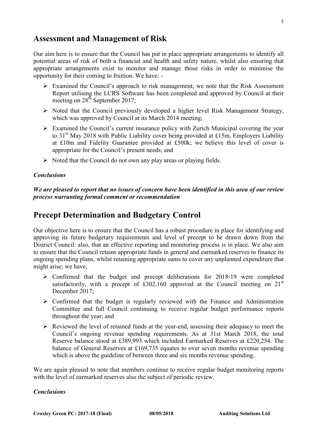### **Assessment and Management of Risk**

Our aim here is to ensure that the Council has put in place appropriate arrangements to identify all potential areas of risk of both a financial and health and safety nature, whilst also ensuring that appropriate arrangements exist to monitor and manage those risks in order to minimise the opportunity for their coming to fruition. We have: -

- $\triangleright$  Examined the Council's approach to risk management; we note that the Risk Assessment Report utilising the LCRS Software has been completed and approved by Council at their meeting on  $28^{th}$  September 2017;
- $\triangleright$  Noted that the Council previously developed a higher level Risk Management Strategy, which was approved by Council at its March 2014 meeting;
- $\triangleright$  Examined the Council's current insurance policy with Zurich Municipal covering the year to  $31<sup>st</sup>$  May 2018 with Public Liability cover being provided at £15m, Employers Liability at £10m and Fidelity Guarantee provided at £500k; we believe this level of cover is appropriate for the Council's present needs; and
- $\triangleright$  Noted that the Council do not own any play areas or playing fields.

#### *Conclusions*

*We are pleased to report that no issues of concern have been identified in this area of our review process warranting formal comment or recommendation*

# **Precept Determination and Budgetary Control**

Our objective here is to ensure that the Council has a robust procedure in place for identifying and approving its future budgetary requirements and level of precept to be drawn down from the District Council: also, that an effective reporting and monitoring process is in place. We also aim to ensure that the Council retains appropriate funds in general and earmarked reserves to finance its ongoing spending plans, whilst retaining appropriate sums to cover any unplanned expenditure that might arise; we have;

- $\triangleright$  Confirmed that the budget and precept deliberations for 2018-19 were completed satisfactorily, with a precept of £302,160 approved at the Council meeting on  $21<sup>st</sup>$ December 2017;
- $\triangleright$  Confirmed that the budget is regularly reviewed with the Finance and Administration Committee and full Council continuing to receive regular budget performance reports throughout the year; and
- $\triangleright$  Reviewed the level of retained funds at the year-end, assessing their adequacy to meet the Council's ongoing revenue spending requirements. As at 31st March 2018, the total Reserve balance stood at £389,993 which included Earmarked Reserves at £220,254. The balance of General Reserves at £169,735 equates to over seven months revenue spending which is above the guideline of between three and six months revenue spending.

We are again pleased to note that members continue to receive regular budget monitoring reports with the level of earmarked reserves also the subject of periodic review.

#### *Conclusions*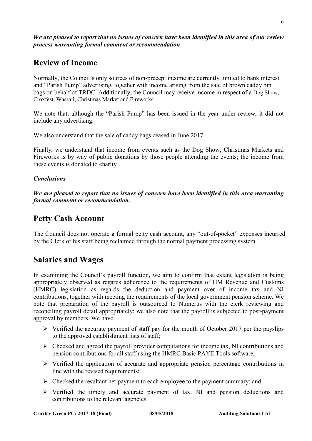# **Review of Income**

Normally, the Council's only sources of non-precept income are currently limited to bank interest and "Parish Pump" advertising, together with income arising from the sale of brown caddy bin bags on behalf of TRDC. Additionally, the Council may receive income in respect of a Dog Show, Croxfest, Wassail, Christmas Market and Fireworks.

We note that, although the "Parish Pump" has been issued in the year under review, it did not include any advertising.

We also understand that the sale of caddy bags ceased in June 2017.

Finally, we understand that income from events such as the Dog Show, Christmas Markets and Fireworks is by way of public donations by those people attending the events; the income from these events is donated to charity

#### *Conclusions*

*We are pleased to report that no issues of concern have been identified in this area warranting formal comment or recommendation.* 

# **Petty Cash Account**

The Council does not operate a formal petty cash account, any "out-of-pocket" expenses incurred by the Clerk or his staff being reclaimed through the normal payment processing system.

# **Salaries and Wages**

In examining the Council's payroll function, we aim to confirm that extant legislation is being appropriately observed as regards adherence to the requirements of HM Revenue and Customs (HMRC) legislation as regards the deduction and payment over of income tax and NI contributions, together with meeting the requirements of the local government pension scheme. We note that preparation of the payroll is outsourced to Numerus with the clerk reviewing and reconciling payroll detail appropriately: we also note that the payroll is subjected to post-payment approval by members. We have:

- $\triangleright$  Verified the accurate payment of staff pay for the month of October 2017 per the payslips to the approved establishment lists of staff;
- $\triangleright$  Checked and agreed the payroll provider computations for income tax, NI contributions and pension contributions for all staff using the HMRC Basic PAYE Tools software;
- $\triangleright$  Verified the application of accurate and appropriate pension percentage contributions in line with the revised requirements;
- $\triangleright$  Checked the resultant net payment to each employee to the payment summary; and
- $\triangleright$  Verified the timely and accurate payment of tax, NI and pension deductions and contributions to the relevant agencies.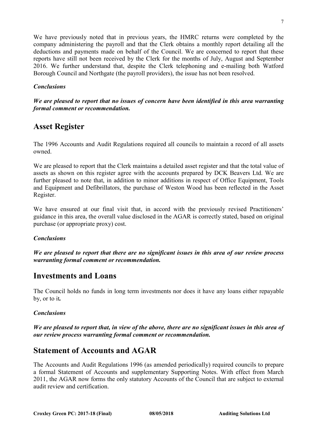We have previously noted that in previous years, the HMRC returns were completed by the company administering the payroll and that the Clerk obtains a monthly report detailing all the deductions and payments made on behalf of the Council. We are concerned to report that these reports have still not been received by the Clerk for the months of July, August and September 2016. We further understand that, despite the Clerk telephoning and e-mailing both Watford Borough Council and Northgate (the payroll providers), the issue has not been resolved.

#### *Conclusions*

#### *We are pleased to report that no issues of concern have been identified in this area warranting formal comment or recommendation.*

# **Asset Register**

The 1996 Accounts and Audit Regulations required all councils to maintain a record of all assets owned.

We are pleased to report that the Clerk maintains a detailed asset register and that the total value of assets as shown on this register agree with the accounts prepared by DCK Beavers Ltd. We are further pleased to note that, in addition to minor additions in respect of Office Equipment, Tools and Equipment and Defibrillators, the purchase of Weston Wood has been reflected in the Asset Register.

We have ensured at our final visit that, in accord with the previously revised Practitioners' guidance in this area, the overall value disclosed in the AGAR is correctly stated, based on original purchase (or appropriate proxy) cost.

#### *Conclusions*

*We are pleased to report that there are no significant issues in this area of our review process warranting formal comment or recommendation.* 

## **Investments and Loans**

The Council holds no funds in long term investments nor does it have any loans either repayable by, or to it*.* 

#### *Conclusions*

*We are pleased to report that, in view of the above, there are no significant issues in this area of our review process warranting formal comment or recommendation.* 

## **Statement of Accounts and AGAR**

The Accounts and Audit Regulations 1996 (as amended periodically) required councils to prepare a formal Statement of Accounts and supplementary Supporting Notes. With effect from March 2011, the AGAR now forms the only statutory Accounts of the Council that are subject to external audit review and certification.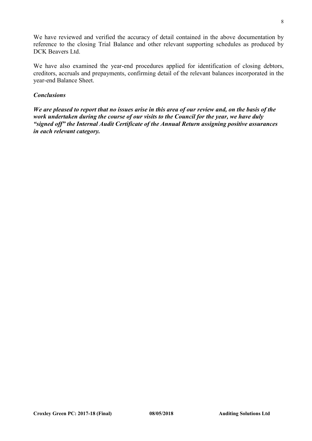We have reviewed and verified the accuracy of detail contained in the above documentation by reference to the closing Trial Balance and other relevant supporting schedules as produced by DCK Beavers Ltd.

We have also examined the year-end procedures applied for identification of closing debtors, creditors, accruals and prepayments, confirming detail of the relevant balances incorporated in the year-end Balance Sheet.

#### *Conclusions*

*We are pleased to report that no issues arise in this area of our review and, on the basis of the work undertaken during the course of our visits to the Council for the year, we have duly "signed off" the Internal Audit Certificate of the Annual Return assigning positive assurances in each relevant category.*